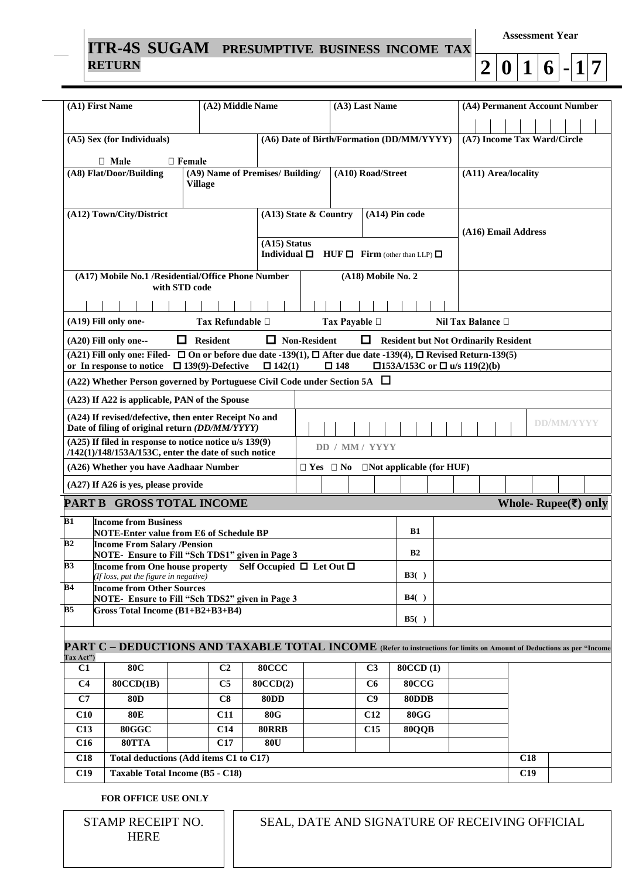## **ITR-4S SUGAM PRESUMPTIVE BUSINESS INCOME TAX RETURN**

**Assessment Year**

|--|

| (A1) First Name                                                                                                                                                                                                                                      |                                                                                                                       | (A2) Middle Name                 |                                        |                      | (A3) Last Name |                |                                           |       |  |                     |     | (A4) Permanent Account Number |                             |                          |  |
|------------------------------------------------------------------------------------------------------------------------------------------------------------------------------------------------------------------------------------------------------|-----------------------------------------------------------------------------------------------------------------------|----------------------------------|----------------------------------------|----------------------|----------------|----------------|-------------------------------------------|-------|--|---------------------|-----|-------------------------------|-----------------------------|--------------------------|--|
|                                                                                                                                                                                                                                                      |                                                                                                                       |                                  |                                        |                      |                |                |                                           |       |  |                     |     |                               |                             |                          |  |
|                                                                                                                                                                                                                                                      | (A5) Sex (for Individuals)                                                                                            |                                  |                                        |                      |                |                | (A6) Date of Birth/Formation (DD/MM/YYYY) |       |  |                     |     |                               | (A7) Income Tax Ward/Circle |                          |  |
|                                                                                                                                                                                                                                                      | $\Box$ Male                                                                                                           | $\Box$ Female                    |                                        |                      |                |                |                                           |       |  |                     |     |                               |                             |                          |  |
|                                                                                                                                                                                                                                                      | (A8) Flat/Door/Building                                                                                               | (A9) Name of Premises/ Building/ |                                        | (A10) Road/Street    |                |                |                                           |       |  | (A11) Area/locality |     |                               |                             |                          |  |
|                                                                                                                                                                                                                                                      |                                                                                                                       | <b>Village</b>                   |                                        |                      |                |                |                                           |       |  |                     |     |                               |                             |                          |  |
|                                                                                                                                                                                                                                                      |                                                                                                                       |                                  |                                        |                      |                |                |                                           |       |  |                     |     |                               |                             |                          |  |
|                                                                                                                                                                                                                                                      | (A12) Town/City/District                                                                                              |                                  | (A13) State & Country                  |                      |                |                | (A14) Pin code                            |       |  |                     |     |                               |                             |                          |  |
|                                                                                                                                                                                                                                                      |                                                                                                                       |                                  |                                        |                      |                |                |                                           |       |  | (A16) Email Address |     |                               |                             |                          |  |
|                                                                                                                                                                                                                                                      |                                                                                                                       |                                  | $(A15)$ Status<br>Individual $\square$ |                      |                |                | $HUF \Box$ Firm (other than LLP) $\Box$   |       |  |                     |     |                               |                             |                          |  |
|                                                                                                                                                                                                                                                      |                                                                                                                       |                                  |                                        |                      |                |                |                                           |       |  |                     |     |                               |                             |                          |  |
|                                                                                                                                                                                                                                                      | (A17) Mobile No.1 /Residential/Office Phone Number                                                                    | with STD code                    |                                        |                      |                |                | (A18) Mobile No. 2                        |       |  |                     |     |                               |                             |                          |  |
|                                                                                                                                                                                                                                                      |                                                                                                                       |                                  |                                        |                      |                |                |                                           |       |  |                     |     |                               |                             |                          |  |
|                                                                                                                                                                                                                                                      |                                                                                                                       |                                  |                                        |                      |                |                |                                           |       |  |                     |     |                               |                             |                          |  |
|                                                                                                                                                                                                                                                      | (A19) Fill only one-<br>Tax Refundable □<br>Tax Payable □<br>Nil Tax Balance □                                        |                                  |                                        |                      |                |                |                                           |       |  |                     |     |                               |                             |                          |  |
| $\Box$ Resident<br>$\Box$ Non-Resident<br>□<br><b>Resident but Not Ordinarily Resident</b><br>(A20) Fill only one--                                                                                                                                  |                                                                                                                       |                                  |                                        |                      |                |                |                                           |       |  |                     |     |                               |                             |                          |  |
| (A21) Fill only one: Filed- $\Box$ On or before due date -139(1), $\Box$ After due date -139(4), $\Box$ Revised Return-139(5)<br>$\Box$ 142(1)<br>$\square$ 148<br>□153A/153C or □ u/s 119(2)(b)<br>or In response to notice $\Box$ 139(9)-Defective |                                                                                                                       |                                  |                                        |                      |                |                |                                           |       |  |                     |     |                               |                             |                          |  |
| (A22) Whether Person governed by Portuguese Civil Code under Section 5A $\Box$                                                                                                                                                                       |                                                                                                                       |                                  |                                        |                      |                |                |                                           |       |  |                     |     |                               |                             |                          |  |
| (A23) If A22 is applicable, PAN of the Spouse                                                                                                                                                                                                        |                                                                                                                       |                                  |                                        |                      |                |                |                                           |       |  |                     |     |                               |                             |                          |  |
| (A24) If revised/defective, then enter Receipt No and                                                                                                                                                                                                |                                                                                                                       |                                  |                                        |                      |                |                |                                           |       |  |                     |     |                               |                             |                          |  |
|                                                                                                                                                                                                                                                      | Date of filing of original return (DD/MM/YYYY)                                                                        |                                  |                                        |                      |                |                |                                           |       |  |                     |     |                               | <b>DD/MM/YYYY</b>           |                          |  |
| (A25) If filed in response to notice notice u/s 139(9)<br>DD / MM / YYYY<br>/142(1)/148/153A/153C, enter the date of such notice                                                                                                                     |                                                                                                                       |                                  |                                        |                      |                |                |                                           |       |  |                     |     |                               |                             |                          |  |
|                                                                                                                                                                                                                                                      | (A26) Whether you have Aadhaar Number                                                                                 |                                  |                                        | $\Box$ Yes $\Box$ No |                |                | $\Box$ Not applicable (for HUF)           |       |  |                     |     |                               |                             |                          |  |
|                                                                                                                                                                                                                                                      | (A27) If A26 is yes, please provide                                                                                   |                                  |                                        |                      |                |                |                                           |       |  |                     |     |                               |                             |                          |  |
|                                                                                                                                                                                                                                                      | <b>PART B GROSS TOTAL INCOME</b>                                                                                      |                                  |                                        |                      |                |                |                                           |       |  |                     |     |                               |                             | Whole-Rupee $(\xi)$ only |  |
| B1                                                                                                                                                                                                                                                   | <b>Income from Business</b>                                                                                           |                                  |                                        |                      |                |                |                                           |       |  |                     |     |                               |                             |                          |  |
| B2                                                                                                                                                                                                                                                   | NOTE-Enter value from E6 of Schedule BP<br><b>Income From Salary /Pension</b>                                         |                                  |                                        |                      |                |                | B1                                        |       |  |                     |     |                               |                             |                          |  |
|                                                                                                                                                                                                                                                      | NOTE- Ensure to Fill "Sch TDS1" given in Page 3                                                                       |                                  |                                        |                      |                |                | B <sub>2</sub>                            |       |  |                     |     |                               |                             |                          |  |
| <b>B3</b>                                                                                                                                                                                                                                            | Income from One house property Self Occupied □ Let Out □<br>If loss, put the figure in negative)                      |                                  |                                        |                      |                |                | B3()                                      |       |  |                     |     |                               |                             |                          |  |
| B4                                                                                                                                                                                                                                                   | <b>Income from Other Sources</b>                                                                                      |                                  |                                        |                      |                |                |                                           |       |  |                     |     |                               |                             |                          |  |
| B <sub>5</sub>                                                                                                                                                                                                                                       | NOTE-Ensure to Fill "Sch TDS2" given in Page 3                                                                        |                                  |                                        |                      |                |                | B4()                                      |       |  |                     |     |                               |                             |                          |  |
|                                                                                                                                                                                                                                                      | Gross Total Income (B1+B2+B3+B4)                                                                                      |                                  |                                        |                      |                |                | B5()                                      |       |  |                     |     |                               |                             |                          |  |
|                                                                                                                                                                                                                                                      |                                                                                                                       |                                  |                                        |                      |                |                |                                           |       |  |                     |     |                               |                             |                          |  |
| Tax Act")                                                                                                                                                                                                                                            | PART C – DEDUCTIONS AND TAXABLE TOTAL INCOME (Refer to instructions for limits on Amount of Deductions as per "Income |                                  |                                        |                      |                |                |                                           |       |  |                     |     |                               |                             |                          |  |
| C1                                                                                                                                                                                                                                                   | <b>80C</b>                                                                                                            | C <sub>2</sub>                   | <b>80CCC</b>                           |                      |                | C <sub>3</sub> | <b>80CCD(1)</b>                           |       |  |                     |     |                               |                             |                          |  |
| C <sub>4</sub>                                                                                                                                                                                                                                       | 80CCD(1B)                                                                                                             | C <sub>5</sub>                   | 80CCD(2)                               |                      |                | C6             |                                           | 80CCG |  |                     |     |                               |                             |                          |  |
| C7                                                                                                                                                                                                                                                   | <b>80D</b>                                                                                                            | C8                               | <b>80DD</b>                            |                      |                | C9             | 80DDB                                     |       |  |                     |     |                               |                             |                          |  |
| C10                                                                                                                                                                                                                                                  | <b>80E</b>                                                                                                            | C11                              | <b>80G</b>                             |                      |                | C12            | $80{\rm GG}$                              |       |  |                     |     |                               |                             |                          |  |
| C13                                                                                                                                                                                                                                                  | 80GGC                                                                                                                 | C14                              | <b>80RRB</b>                           |                      |                | C15            |                                           | 80QQB |  |                     |     |                               |                             |                          |  |
| C16                                                                                                                                                                                                                                                  | 80TTA                                                                                                                 | C17                              | <b>80U</b>                             |                      |                |                |                                           |       |  |                     |     |                               |                             |                          |  |
| C18                                                                                                                                                                                                                                                  | Total deductions (Add items C1 to C17)                                                                                |                                  |                                        |                      |                |                |                                           |       |  |                     | C18 |                               |                             |                          |  |
| C19                                                                                                                                                                                                                                                  | <b>Taxable Total Income (B5 - C18)</b>                                                                                |                                  |                                        |                      |                |                |                                           |       |  |                     | C19 |                               |                             |                          |  |

**FOR OFFICE USE ONLY**

STAMP RECEIPT NO. HERE

SEAL, DATE AND SIGNATURE OF RECEIVING OFFICIAL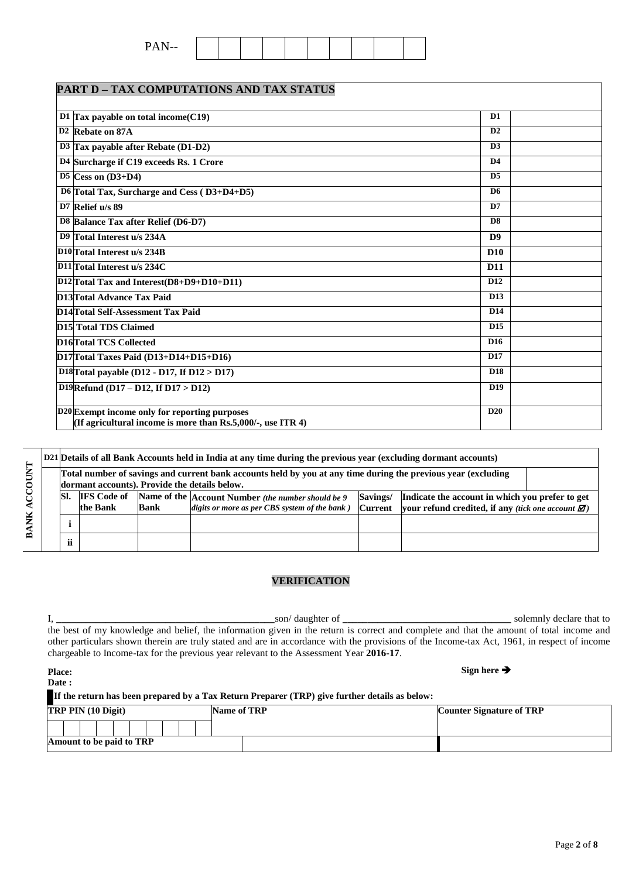Page **2** of **8**

| LANI D – IAA COMI UTATIONS AND TAA STATUS                                                                             |                 |  |
|-----------------------------------------------------------------------------------------------------------------------|-----------------|--|
| D1 Tax payable on total income $(C19)$                                                                                | D <sub>1</sub>  |  |
|                                                                                                                       |                 |  |
| D <sub>2</sub> Rebate on 87A                                                                                          | D2              |  |
| D3 Tax payable after Rebate $(D1-D2)$                                                                                 | D <sub>3</sub>  |  |
| D4 Surcharge if C19 exceeds Rs. 1 Crore                                                                               | D <sub>4</sub>  |  |
| $D5$ Cess on $(D3+D4)$                                                                                                | D <sub>5</sub>  |  |
| D6 Total Tax, Surcharge and Cess (D3+D4+D5)                                                                           | D6              |  |
| D7 Relief u/s 89                                                                                                      | D7              |  |
| D8 Balance Tax after Relief (D6-D7)                                                                                   | D <sub>8</sub>  |  |
| D9 Total Interest u/s 234A                                                                                            | D <sub>9</sub>  |  |
| D <sub>10</sub> Total Interest u/s 234B                                                                               | D <sub>10</sub> |  |
| D11 Total Interest u/s 234C                                                                                           | <b>D11</b>      |  |
| $D12$ Total Tax and Interest(D8+D9+D10+D11)                                                                           | D <sub>12</sub> |  |
| D13Total Advance Tax Paid                                                                                             | D <sub>13</sub> |  |
| D14Total Self-Assessment Tax Paid                                                                                     | D <sub>14</sub> |  |
| D15 Total TDS Claimed                                                                                                 | D <sub>15</sub> |  |
| D16Total TCS Collected                                                                                                | D <sub>16</sub> |  |
| $D17$ Total Taxes Paid (D13+D14+D15+D16)                                                                              | D17             |  |
| D <sub>18</sub> T <sub>otal</sub> payable (D <sub>12</sub> - D <sub>17</sub> , If D <sub>12</sub> > D <sub>17</sub> ) | D <sub>18</sub> |  |
| D19Refund (D17 - D12, If D17 > D12)                                                                                   | D <sub>19</sub> |  |
| D20 Exempt income only for reporting purposes                                                                         | D20             |  |
| (If agricultural income is more than $\text{Rs.}5,000/$ -, use ITR 4)                                                 |                 |  |

|  |                                                                                                                                                                                                                                                                                                                                                     |  |  | D21 Details of all Bank Accounts held in India at any time during the previous year (excluding dormant accounts) |  |  |  |  |  |  |  |  |
|--|-----------------------------------------------------------------------------------------------------------------------------------------------------------------------------------------------------------------------------------------------------------------------------------------------------------------------------------------------------|--|--|------------------------------------------------------------------------------------------------------------------|--|--|--|--|--|--|--|--|
|  | Total number of savings and current bank accounts held by you at any time during the previous year (excluding<br>dormant accounts). Provide the details below.                                                                                                                                                                                      |  |  |                                                                                                                  |  |  |  |  |  |  |  |  |
|  | <b>IFS</b> Code of<br>Name of the Account Number (the number should be 9<br>SI.<br>Savings/<br>Indicate the account in which you prefer to get<br>the Bank<br><b>Bank</b><br>vour refund credited, if any <i>(tick one account <math>\mathbf{\mathbf{\mathcal{Z}}})</math></i> )<br>digits or more as per CBS system of the bank)<br><b>Current</b> |  |  |                                                                                                                  |  |  |  |  |  |  |  |  |
|  |                                                                                                                                                                                                                                                                                                                                                     |  |  |                                                                                                                  |  |  |  |  |  |  |  |  |
|  | <b>ii</b>                                                                                                                                                                                                                                                                                                                                           |  |  |                                                                                                                  |  |  |  |  |  |  |  |  |

### **VERIFICATION**

I, **\_\_\_\_\_\_\_\_\_\_\_\_\_\_\_\_\_\_\_\_\_\_\_\_\_\_\_\_\_\_\_\_\_\_\_\_\_\_\_\_\_\_\_\_**son/ daughter of **\_\_\_\_\_\_\_\_\_\_\_\_\_\_\_\_\_\_\_\_\_\_\_\_\_\_\_\_\_\_\_\_\_\_** solemnly declare that to the best of my knowledge and belief, the information given in the return is correct and complete and that the amount of total income and other particulars shown therein are truly stated and are in accordance with the provisions of the Income-tax Act, 1961, in respect of income chargeable to Income-tax for the previous year relevant to the Assessment Year **2016-17**.

| <b>Place:</b>             |                                                                                               | Sign here $\rightarrow$         |  |  |
|---------------------------|-----------------------------------------------------------------------------------------------|---------------------------------|--|--|
| Date :                    |                                                                                               |                                 |  |  |
|                           | If the return has been prepared by a Tax Return Preparer (TRP) give further details as below: |                                 |  |  |
| <b>TRP PIN (10 Digit)</b> | Name of TRP                                                                                   | <b>Counter Signature of TRP</b> |  |  |
|                           |                                                                                               |                                 |  |  |
| Amount to be paid to TRP  |                                                                                               |                                 |  |  |

# **PART D – TAX COMPUTATIONS AND TAX STATUS**

|--|--|--|--|--|--|--|--|--|--|--|

**Sign here**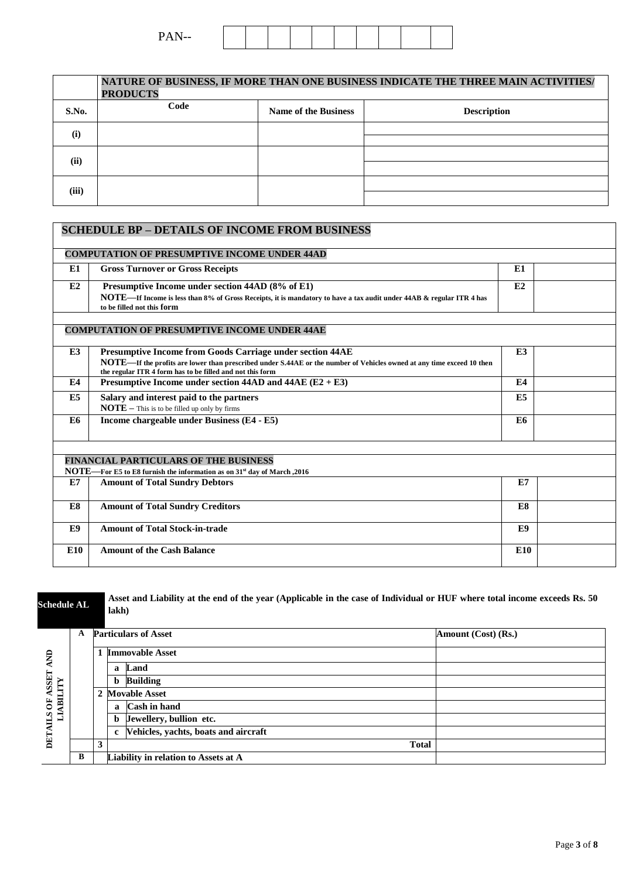| $\mathbf{r}$ $\mathbf{r}$<br>--<br>- - -- |  |  |  |  |  |  |  |  |  |  |  |
|-------------------------------------------|--|--|--|--|--|--|--|--|--|--|--|
|-------------------------------------------|--|--|--|--|--|--|--|--|--|--|--|

|       | NATURE OF BUSINESS, IF MORE THAN ONE BUSINESS INDICATE THE THREE MAIN ACTIVITIES/<br><b>PRODUCTS</b> |                             |                    |  |  |  |  |  |  |  |  |
|-------|------------------------------------------------------------------------------------------------------|-----------------------------|--------------------|--|--|--|--|--|--|--|--|
| S.No. | Code                                                                                                 | <b>Name of the Business</b> | <b>Description</b> |  |  |  |  |  |  |  |  |
| (i)   |                                                                                                      |                             |                    |  |  |  |  |  |  |  |  |
| (ii)  |                                                                                                      |                             |                    |  |  |  |  |  |  |  |  |
| (iii) |                                                                                                      |                             |                    |  |  |  |  |  |  |  |  |

|                | <b>SCHEDULE BP - DETAILS OF INCOME FROM BUSINESS</b>                                                                                                                                                                                            |                 |  |
|----------------|-------------------------------------------------------------------------------------------------------------------------------------------------------------------------------------------------------------------------------------------------|-----------------|--|
|                | <b>COMPUTATION OF PRESUMPTIVE INCOME UNDER 44AD</b>                                                                                                                                                                                             |                 |  |
| E1             | <b>Gross Turnover or Gross Receipts</b>                                                                                                                                                                                                         | E1              |  |
| E2             | Presumptive Income under section 44AD (8% of E1)<br>NOTE—If Income is less than 8% of Gross Receipts, it is mandatory to have a tax audit under 44AB & regular ITR 4 has<br>to be filled not this form                                          | E2              |  |
|                | <b>COMPUTATION OF PRESUMPTIVE INCOME UNDER 44AE</b>                                                                                                                                                                                             |                 |  |
| E3             | Presumptive Income from Goods Carriage under section 44AE<br>NOTE—If the profits are lower than prescribed under S.44AE or the number of Vehicles owned at any time exceed 10 then<br>the regular ITR 4 form has to be filled and not this form | E3              |  |
| E4             | Presumptive Income under section 44AD and 44AE $(E2 + E3)$                                                                                                                                                                                      | E4              |  |
| E <sub>5</sub> | Salary and interest paid to the partners<br>$\textbf{NOTE}$ – This is to be filled up only by firms                                                                                                                                             | E <sub>5</sub>  |  |
| E6             | Income chargeable under Business (E4 - E5)                                                                                                                                                                                                      | E6              |  |
|                |                                                                                                                                                                                                                                                 |                 |  |
|                | <b>FINANCIAL PARTICULARS OF THE BUSINESS</b><br>NOTE—For E5 to E8 furnish the information as on 31 <sup>st</sup> day of March, 2016                                                                                                             |                 |  |
| E7             | <b>Amount of Total Sundry Debtors</b>                                                                                                                                                                                                           | E7              |  |
| E8             | <b>Amount of Total Sundry Creditors</b>                                                                                                                                                                                                         | E8              |  |
| E9             | <b>Amount of Total Stock-in-trade</b>                                                                                                                                                                                                           | E9              |  |
| <b>E10</b>     | <b>Amount of the Cash Balance</b>                                                                                                                                                                                                               | E <sub>10</sub> |  |

**Schedule AL <b>Asset and Liability at the end of the year (Applicable in the case of Individual or HUF where total income exceeds Rs. 50 lakh) A Particulars of Asset Amount (Cost) (Rs.) 1 Immovable Asset**  $\epsilon$ 

| ₽                       |   |              | <b>Immovable Asset</b>                 |  |
|-------------------------|---|--------------|----------------------------------------|--|
|                         |   |              | a Land                                 |  |
| <b>LEISSN</b><br>⋗<br>Ę |   |              | <b>b</b> Building                      |  |
| БI                      |   |              | 2 Movable Asset                        |  |
| ð                       |   | $\mathbf{a}$ | <b>Cash in hand</b>                    |  |
| SLS<br>▀                |   |              | b Jewellery, bullion etc.              |  |
|                         |   |              | c Vehicles, yachts, boats and aircraft |  |
| DЕI                     |   |              | <b>Total</b>                           |  |
|                         | R |              | Liability in relation to Assets at A   |  |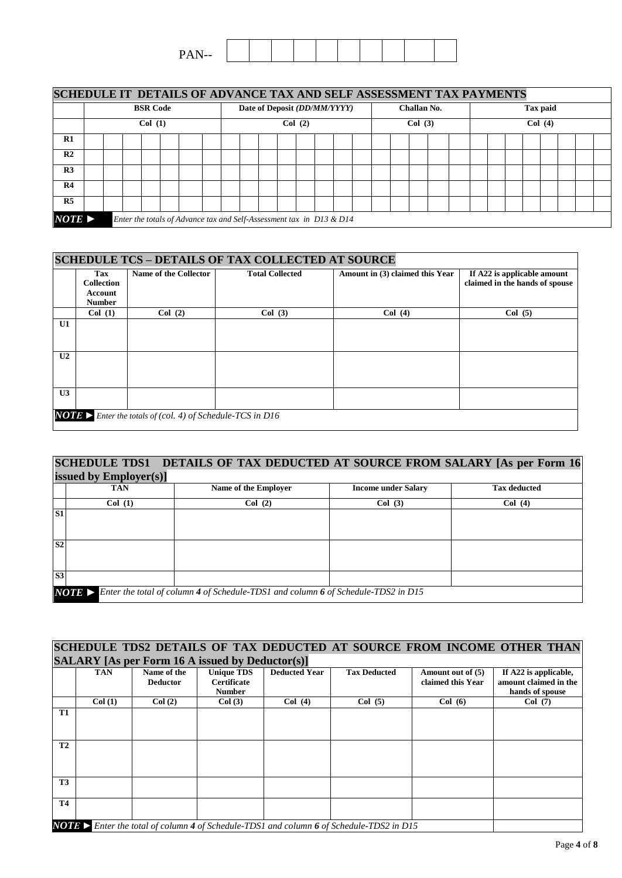| $T$ $\rightarrow$ $T$<br>--<br><u>.</u> |  |  |  |  |  |
|-----------------------------------------|--|--|--|--|--|

| SCHEDULE IT DETAILS OF ADVANCE TAX AND SELF ASSESSMENT TAX PAYMENTS |        |  |                 |                                                                      |  |        |  |                              |        |  |  |             |  |  |  |          |  |  |  |
|---------------------------------------------------------------------|--------|--|-----------------|----------------------------------------------------------------------|--|--------|--|------------------------------|--------|--|--|-------------|--|--|--|----------|--|--|--|
|                                                                     |        |  | <b>BSR Code</b> |                                                                      |  |        |  | Date of Deposit (DD/MM/YYYY) |        |  |  | Challan No. |  |  |  | Tax paid |  |  |  |
|                                                                     | Col(1) |  |                 |                                                                      |  | Col(2) |  |                              | Col(3) |  |  | Col(4)      |  |  |  |          |  |  |  |
| R1                                                                  |        |  |                 |                                                                      |  |        |  |                              |        |  |  |             |  |  |  |          |  |  |  |
| R <sub>2</sub>                                                      |        |  |                 |                                                                      |  |        |  |                              |        |  |  |             |  |  |  |          |  |  |  |
| R <sub>3</sub>                                                      |        |  |                 |                                                                      |  |        |  |                              |        |  |  |             |  |  |  |          |  |  |  |
| R4                                                                  |        |  |                 |                                                                      |  |        |  |                              |        |  |  |             |  |  |  |          |  |  |  |
| R <sub>5</sub>                                                      |        |  |                 |                                                                      |  |        |  |                              |        |  |  |             |  |  |  |          |  |  |  |
| $NOTE \triangleright$                                               |        |  |                 | Enter the totals of Advance tax and Self-Assessment tax in D13 & D14 |  |        |  |                              |        |  |  |             |  |  |  |          |  |  |  |

|                |                                                                    |                                                                   | <b>SCHEDULE TCS - DETAILS OF TAX COLLECTED AT SOURCE</b> |                                 |                                                               |
|----------------|--------------------------------------------------------------------|-------------------------------------------------------------------|----------------------------------------------------------|---------------------------------|---------------------------------------------------------------|
|                | <b>Tax</b><br><b>Collection</b><br><b>Account</b><br><b>Number</b> | Name of the Collector                                             | <b>Total Collected</b>                                   | Amount in (3) claimed this Year | If A22 is applicable amount<br>claimed in the hands of spouse |
|                | Col(1)                                                             | Col(2)                                                            | Col(3)                                                   | Col(4)                          | Col(5)                                                        |
| U1             |                                                                    |                                                                   |                                                          |                                 |                                                               |
| U <sub>2</sub> |                                                                    |                                                                   |                                                          |                                 |                                                               |
| U3             |                                                                    |                                                                   |                                                          |                                 |                                                               |
|                |                                                                    | <b>NOTE</b> > Enter the totals of (col. 4) of Schedule-TCS in D16 |                                                          |                                 |                                                               |

#### **SCHEDULE TDS1 DETAILS OF TAX DEDUCTED AT SOURCE FROM SALARY [As per Form 16 issued by Employer(s)]**

|                | $\mu$      |                                                                                                 |                            |                     |
|----------------|------------|-------------------------------------------------------------------------------------------------|----------------------------|---------------------|
|                | <b>TAN</b> | Name of the Employer                                                                            | <b>Income under Salary</b> | <b>Tax deducted</b> |
|                | Col(1)     | Col(2)                                                                                          | Col(3)                     | Col(4)              |
| S <sub>1</sub> |            |                                                                                                 |                            |                     |
|                |            |                                                                                                 |                            |                     |
| S <sub>2</sub> |            |                                                                                                 |                            |                     |
|                |            |                                                                                                 |                            |                     |
|                |            |                                                                                                 |                            |                     |
| S <sub>3</sub> |            |                                                                                                 |                            |                     |
|                |            | <b>NOTE</b> > Enter the total of column 4 of Schedule-TDS1 and column 6 of Schedule-TDS2 in D15 |                            |                     |
|                |            |                                                                                                 |                            |                     |

#### **SCHEDULE TDS2 DETAILS OF TAX DEDUCTED AT SOURCE FROM INCOME OTHER THAN SALARY [As per Form 16 A issued by Deductor(s)]**

|           |            |                                | $\frac{1}{2}$ $\frac{1}{2}$ $\frac{1}{2}$ $\frac{1}{2}$ $\frac{1}{2}$ $\frac{1}{2}$ $\frac{1}{2}$ $\frac{1}{2}$ $\frac{1}{2}$ $\frac{1}{2}$ $\frac{1}{2}$ $\frac{1}{2}$ $\frac{1}{2}$ $\frac{1}{2}$ $\frac{1}{2}$ $\frac{1}{2}$ $\frac{1}{2}$ $\frac{1}{2}$ $\frac{1}{2}$ $\frac{1}{2}$ $\frac{1}{2}$ $\frac{1}{2}$ |                      |                                                                                                 |                                        |                                                |
|-----------|------------|--------------------------------|---------------------------------------------------------------------------------------------------------------------------------------------------------------------------------------------------------------------------------------------------------------------------------------------------------------------|----------------------|-------------------------------------------------------------------------------------------------|----------------------------------------|------------------------------------------------|
|           | <b>TAN</b> | Name of the<br><b>Deductor</b> | <b>Unique TDS</b><br><b>Certificate</b>                                                                                                                                                                                                                                                                             | <b>Deducted Year</b> | <b>Tax Deducted</b>                                                                             | Amount out of (5)<br>claimed this Year | If A22 is applicable,<br>amount claimed in the |
|           |            |                                | <b>Number</b>                                                                                                                                                                                                                                                                                                       |                      |                                                                                                 |                                        | hands of spouse                                |
|           | Col(1)     | Col(2)                         | Col(3)                                                                                                                                                                                                                                                                                                              | Col(4)               | Col(5)                                                                                          | Col(6)                                 | Col(7)                                         |
| <b>T1</b> |            |                                |                                                                                                                                                                                                                                                                                                                     |                      |                                                                                                 |                                        |                                                |
|           |            |                                |                                                                                                                                                                                                                                                                                                                     |                      |                                                                                                 |                                        |                                                |
|           |            |                                |                                                                                                                                                                                                                                                                                                                     |                      |                                                                                                 |                                        |                                                |
| <b>T2</b> |            |                                |                                                                                                                                                                                                                                                                                                                     |                      |                                                                                                 |                                        |                                                |
|           |            |                                |                                                                                                                                                                                                                                                                                                                     |                      |                                                                                                 |                                        |                                                |
|           |            |                                |                                                                                                                                                                                                                                                                                                                     |                      |                                                                                                 |                                        |                                                |
| <b>T3</b> |            |                                |                                                                                                                                                                                                                                                                                                                     |                      |                                                                                                 |                                        |                                                |
|           |            |                                |                                                                                                                                                                                                                                                                                                                     |                      |                                                                                                 |                                        |                                                |
| <b>T4</b> |            |                                |                                                                                                                                                                                                                                                                                                                     |                      |                                                                                                 |                                        |                                                |
|           |            |                                |                                                                                                                                                                                                                                                                                                                     |                      |                                                                                                 |                                        |                                                |
|           |            |                                |                                                                                                                                                                                                                                                                                                                     |                      | <b>NOTE</b> > Enter the total of column 4 of Schedule-TDS1 and column 6 of Schedule-TDS2 in D15 |                                        |                                                |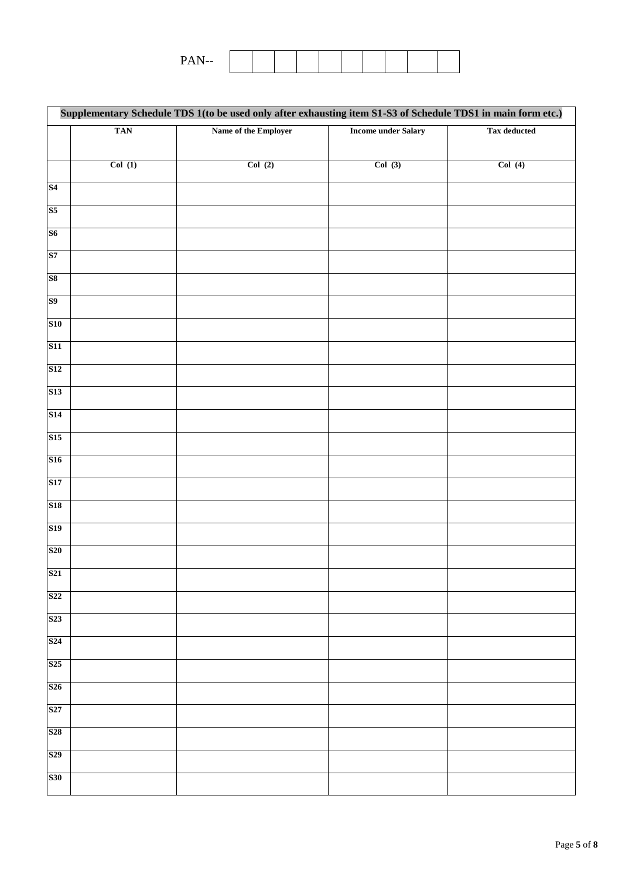| <b>DAN</b><br>--<br>. .<br>$\overline{\phantom{a}}$ |  |  |  |  |  |
|-----------------------------------------------------|--|--|--|--|--|
|                                                     |  |  |  |  |  |

|                 |            | Supplementary Schedule TDS 1(to be used only after exhausting item S1-S3 of Schedule TDS1 in main form etc.) |                            |                     |
|-----------------|------------|--------------------------------------------------------------------------------------------------------------|----------------------------|---------------------|
|                 | <b>TAN</b> | Name of the Employer                                                                                         | <b>Income under Salary</b> | <b>Tax deducted</b> |
|                 |            |                                                                                                              |                            |                     |
|                 | Col(1)     | Col(2)                                                                                                       | Col(3)                     | Col(4)              |
| S <sub>4</sub>  |            |                                                                                                              |                            |                     |
| S <sub>5</sub>  |            |                                                                                                              |                            |                     |
| S6              |            |                                                                                                              |                            |                     |
| S7              |            |                                                                                                              |                            |                     |
| S <sub>8</sub>  |            |                                                                                                              |                            |                     |
| S <sub>9</sub>  |            |                                                                                                              |                            |                     |
| <b>S10</b>      |            |                                                                                                              |                            |                     |
| <b>S11</b>      |            |                                                                                                              |                            |                     |
| <b>S12</b>      |            |                                                                                                              |                            |                     |
| S <sub>13</sub> |            |                                                                                                              |                            |                     |
| S14             |            |                                                                                                              |                            |                     |
| S15             |            |                                                                                                              |                            |                     |
| <b>S16</b>      |            |                                                                                                              |                            |                     |
| S17             |            |                                                                                                              |                            |                     |
| <b>S18</b>      |            |                                                                                                              |                            |                     |
| <b>S19</b>      |            |                                                                                                              |                            |                     |
| <b>S20</b>      |            |                                                                                                              |                            |                     |
| S <sub>21</sub> |            |                                                                                                              |                            |                     |
| S <sub>22</sub> |            |                                                                                                              |                            |                     |
| S <sub>23</sub> |            |                                                                                                              |                            |                     |
| S <sub>24</sub> |            |                                                                                                              |                            |                     |
| S <sub>25</sub> |            |                                                                                                              |                            |                     |
| S <sub>26</sub> |            |                                                                                                              |                            |                     |
| S <sub>27</sub> |            |                                                                                                              |                            |                     |
| <b>S28</b>      |            |                                                                                                              |                            |                     |
| S <sub>29</sub> |            |                                                                                                              |                            |                     |
| <b>S30</b>      |            |                                                                                                              |                            |                     |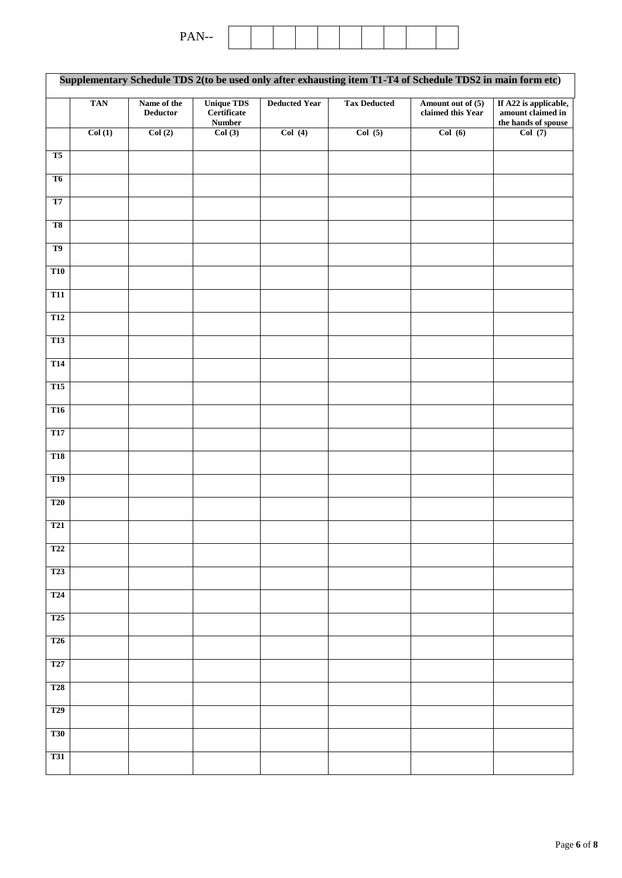| $-1$<br>--<br>— |
|-----------------|
|-----------------|

|                         |            |                                |                                                   |                      | Supplementary Schedule TDS 2(to be used only after exhausting item T1-T4 of Schedule TDS2 in main form etc) |                                        |                                                                   |
|-------------------------|------------|--------------------------------|---------------------------------------------------|----------------------|-------------------------------------------------------------------------------------------------------------|----------------------------------------|-------------------------------------------------------------------|
|                         | <b>TAN</b> | Name of the<br><b>Deductor</b> | <b>Unique TDS</b><br>Certificate<br><b>Number</b> | <b>Deducted Year</b> | <b>Tax Deducted</b>                                                                                         | Amount out of (5)<br>claimed this Year | If A22 is applicable,<br>amount claimed in<br>the hands of spouse |
|                         | Col(1)     | Col(2)                         | Col(3)                                            | Col(4)               | Col(5)                                                                                                      | Col(6)                                 | Col(7)                                                            |
| T5                      |            |                                |                                                   |                      |                                                                                                             |                                        |                                                                   |
| T <sub>6</sub>          |            |                                |                                                   |                      |                                                                                                             |                                        |                                                                   |
| T <sub>7</sub>          |            |                                |                                                   |                      |                                                                                                             |                                        |                                                                   |
| T <sub>8</sub>          |            |                                |                                                   |                      |                                                                                                             |                                        |                                                                   |
| T <sub>9</sub>          |            |                                |                                                   |                      |                                                                                                             |                                        |                                                                   |
| <b>T10</b>              |            |                                |                                                   |                      |                                                                                                             |                                        |                                                                   |
| <b>T11</b>              |            |                                |                                                   |                      |                                                                                                             |                                        |                                                                   |
| <b>T12</b>              |            |                                |                                                   |                      |                                                                                                             |                                        |                                                                   |
| <b>T13</b>              |            |                                |                                                   |                      |                                                                                                             |                                        |                                                                   |
| T <sub>14</sub>         |            |                                |                                                   |                      |                                                                                                             |                                        |                                                                   |
| <b>T15</b>              |            |                                |                                                   |                      |                                                                                                             |                                        |                                                                   |
| $\overline{\text{T16}}$ |            |                                |                                                   |                      |                                                                                                             |                                        |                                                                   |
| T17                     |            |                                |                                                   |                      |                                                                                                             |                                        |                                                                   |
| <b>T18</b>              |            |                                |                                                   |                      |                                                                                                             |                                        |                                                                   |
| <b>T19</b>              |            |                                |                                                   |                      |                                                                                                             |                                        |                                                                   |
| <b>T20</b>              |            |                                |                                                   |                      |                                                                                                             |                                        |                                                                   |
| <b>T21</b>              |            |                                |                                                   |                      |                                                                                                             |                                        |                                                                   |
| <b>T22</b>              |            |                                |                                                   |                      |                                                                                                             |                                        |                                                                   |
| T <sub>23</sub>         |            |                                |                                                   |                      |                                                                                                             |                                        |                                                                   |
| <b>T24</b>              |            |                                |                                                   |                      |                                                                                                             |                                        |                                                                   |
| T <sub>25</sub>         |            |                                |                                                   |                      |                                                                                                             |                                        |                                                                   |
| <b>T26</b>              |            |                                |                                                   |                      |                                                                                                             |                                        |                                                                   |
| T27                     |            |                                |                                                   |                      |                                                                                                             |                                        |                                                                   |
| <b>T28</b>              |            |                                |                                                   |                      |                                                                                                             |                                        |                                                                   |
| <b>T29</b>              |            |                                |                                                   |                      |                                                                                                             |                                        |                                                                   |
| <b>T30</b>              |            |                                |                                                   |                      |                                                                                                             |                                        |                                                                   |
| <b>T31</b>              |            |                                |                                                   |                      |                                                                                                             |                                        |                                                                   |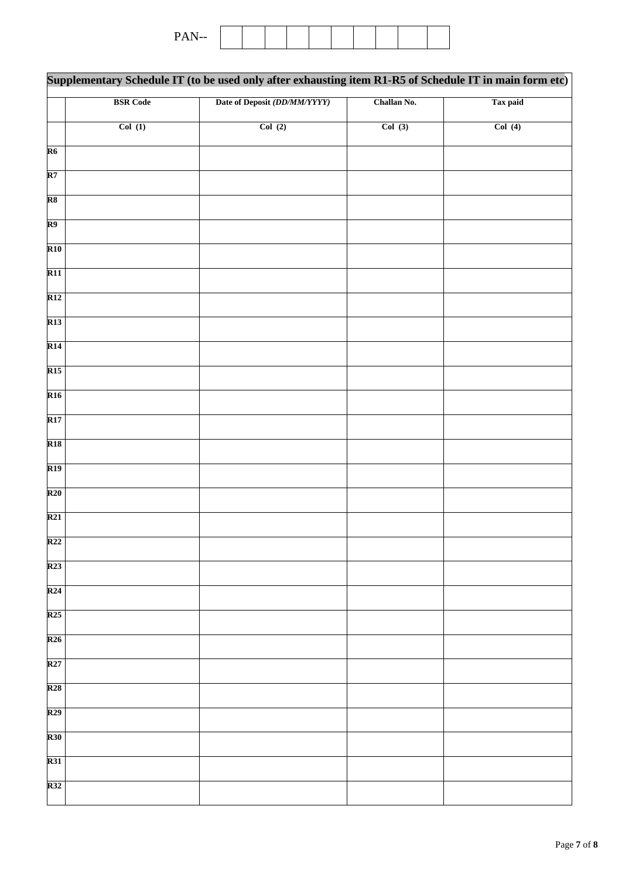| n<br>.<br>$\overline{\phantom{a}}$<br>-<br>- - -- |  |  |  |  |  |  |  |  |  |  |
|---------------------------------------------------|--|--|--|--|--|--|--|--|--|--|
|---------------------------------------------------|--|--|--|--|--|--|--|--|--|--|

|                          |                 | Supplementary Schedule IT (to be used only after exhausting item R1-R5 of Schedule IT in main form etc) |             |          |
|--------------------------|-----------------|---------------------------------------------------------------------------------------------------------|-------------|----------|
|                          | <b>BSR</b> Code | Date of Deposit (DD/MM/YYYY)                                                                            | Challan No. | Tax paid |
|                          | Col(1)          | Col(2)                                                                                                  | Col(3)      | Col(4)   |
| $\overline{R6}$          |                 |                                                                                                         |             |          |
| $\overline{\mathbf{R7}}$ |                 |                                                                                                         |             |          |
| $\overline{\text{R8}}$   |                 |                                                                                                         |             |          |
| R9                       |                 |                                                                                                         |             |          |
| $\overline{R10}$         |                 |                                                                                                         |             |          |
| $\overline{R11}$         |                 |                                                                                                         |             |          |
| R12                      |                 |                                                                                                         |             |          |
| $\overline{R13}$         |                 |                                                                                                         |             |          |
| R14                      |                 |                                                                                                         |             |          |
| R15                      |                 |                                                                                                         |             |          |
| $\overline{R16}$         |                 |                                                                                                         |             |          |
| $\overline{R17}$         |                 |                                                                                                         |             |          |
| R <sub>18</sub>          |                 |                                                                                                         |             |          |
| $\overline{R19}$         |                 |                                                                                                         |             |          |
| R20                      |                 |                                                                                                         |             |          |
| R21                      |                 |                                                                                                         |             |          |
| R <sub>22</sub>          |                 |                                                                                                         |             |          |
| R <sub>23</sub>          |                 |                                                                                                         |             |          |
| R24                      |                 |                                                                                                         |             |          |
| R <sub>25</sub>          |                 |                                                                                                         |             |          |
| R26                      |                 |                                                                                                         |             |          |
| R27                      |                 |                                                                                                         |             |          |
| R28                      |                 |                                                                                                         |             |          |
| R <sub>29</sub>          |                 |                                                                                                         |             |          |
| R30                      |                 |                                                                                                         |             |          |
| R31                      |                 |                                                                                                         |             |          |
| R32                      |                 |                                                                                                         |             |          |
|                          |                 |                                                                                                         |             |          |